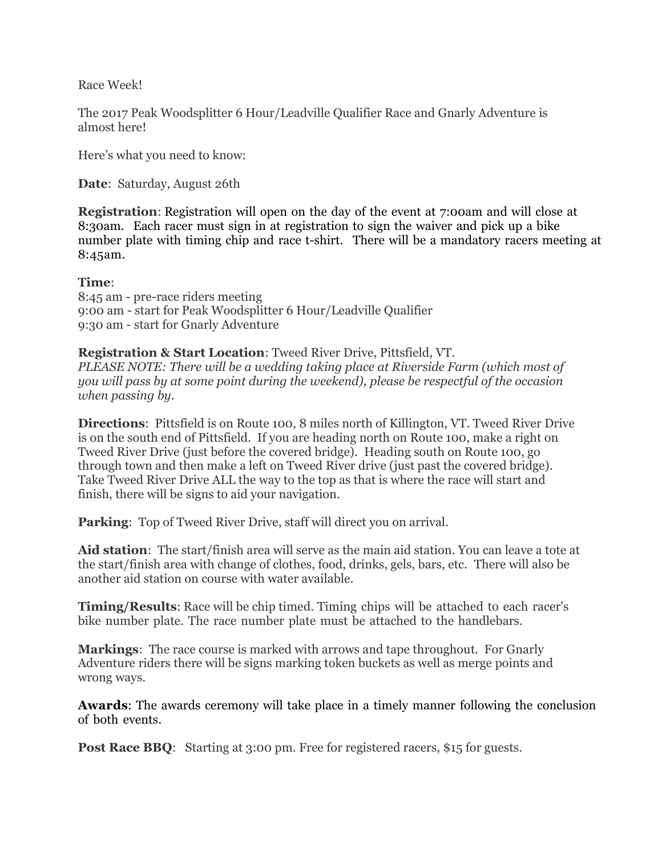Race Week!

The 2017 Peak Woodsplitter 6 Hour/Leadville Qualifier Race and Gnarly Adventure is almost here!

Here's what you need to know:

**Date**: Saturday, August 26th

**Registration:** Registration will open on the day of the event at 7:00am and will close at 8:30am. Each racer must sign in at registration to sign the waiver and pick up a bike number plate with timing chip and race t-shirt. There will be a mandatory racers meeting at 8:45am.

## **Time**:

8:45 am - pre-race riders meeting 9:00 am - start for Peak Woodsplitter 6 Hour/Leadville Qualifier 9:30 am - start for Gnarly Adventure

# **Registration & Start Location**: Tweed River Drive, Pittsfield, VT.

*PLEASE NOTE: There will be a wedding taking place at Riverside Farm (which most of you will pass by at some point during the weekend), please be respectful of the occasion when passing by.*

**Directions**: Pittsfield is on Route 100, 8 miles north of Killington, VT. Tweed River Drive is on the south end of Pittsfield. If you are heading north on Route 100, make a right on Tweed River Drive (just before the covered bridge). Heading south on Route 100, go through town and then make a left on Tweed River drive (just past the covered bridge). Take Tweed River Drive ALL the way to the top as that is where the race will start and finish, there will be signs to aid your navigation.

**Parking:** Top of Tweed River Drive, staff will direct you on arrival.

**Aid station**: The start/finish area will serve as the main aid station. You can leave a tote at the start/finish area with change of clothes, food, drinks, gels, bars, etc. There will also be another aid station on course with water available.

**Timing/Results**: Race will be chip timed. Timing chips will be attached to each racer's bike number plate. The race number plate must be attached to the handlebars.

**Markings**: The race course is marked with arrows and tape throughout. For Gnarly Adventure riders there will be signs marking token buckets as well as merge points and wrong ways.

**Awards**: The awards ceremony will take place in a timely manner following the conclusion of both events.

**Post Race BBQ:** Starting at 3:00 pm. Free for registered racers, \$15 for guests.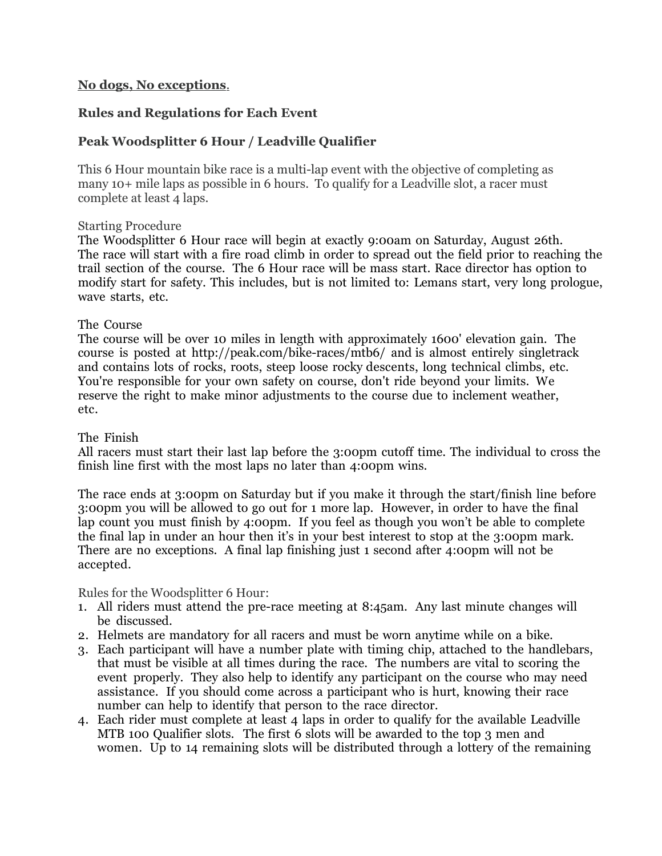## **No dogs, No exceptions**.

## **Rules and Regulations for Each Event**

# **Peak Woodsplitter 6 Hour / Leadville Qualifier**

This 6 Hour mountain bike race is a multi-lap event with the objective of completing as many 10+ mile laps as possible in 6 hours. To qualify for a Leadville slot, a racer must complete at least 4 laps.

#### Starting Procedure

The Woodsplitter 6 Hour race will begin at exactly 9:00am on Saturday, August 26th. The race will start with a fire road climb in order to spread out the field prior to reaching the trail section of the course. The 6 Hour race will be mass start. Race director has option to modify start for safety. This includes, but is not limited to: Lemans start, very long prologue, wave starts, etc.

#### The Course

The course will be over 10 miles in length with approximately 1600' elevation gain. The course is posted at http://peak.com/bike-races/mtb6/ and is almost entirely singletrack and contains lots of rocks, roots, steep loose rocky descents, long technical climbs, etc. You're responsible for your own safety on course, don't ride beyond your limits. We reserve the right to make minor adjustments to the course due to inclement weather, etc.

#### The Finish

All racers must start their last lap before the 3:00pm cutoff time. The individual to cross the finish line first with the most laps no later than 4:00pm wins.

The race ends at 3:00pm on Saturday but if you make it through the start/finish line before 3:00pm you will be allowed to go out for 1 more lap. However, in order to have the final lap count you must finish by 4:00pm. If you feel as though you won't be able to complete the final lap in under an hour then it's in your best interest to stop at the 3:00pm mark. There are no exceptions. A final lap finishing just 1 second after 4:00pm will not be accepted.

Rules for the Woodsplitter 6 Hour:

- 1. All riders must attend the pre-race meeting at 8:45am. Any last minute changes will be discussed.
- 2. Helmets are mandatory for all racers and must be worn anytime while on a bike.
- 3. Each participant will have a number plate with timing chip, attached to the handlebars, that must be visible at all times during the race. The numbers are vital to scoring the event properly. They also help to identify any participant on the course who may need assistance. If you should come across a participant who is hurt, knowing their race number can help to identify that person to the race director.
- 4. Each rider must complete at least 4 laps in order to qualify for the available Leadville MTB 100 Qualifier slots. The first 6 slots will be awarded to the top 3 men and women. Up to 14 remaining slots will be distributed through a lottery of the remaining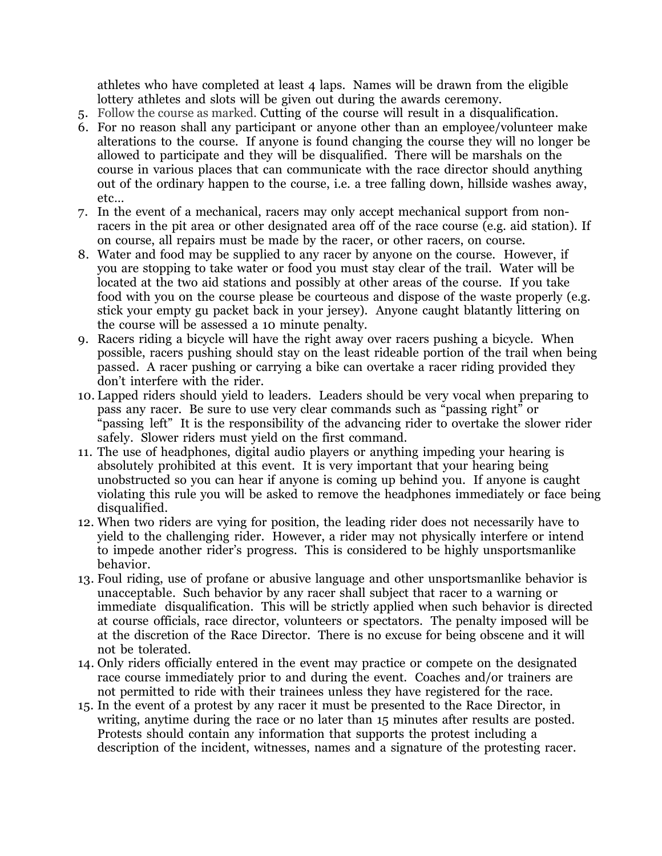athletes who have completed at least 4 laps. Names will be drawn from the eligible lottery athletes and slots will be given out during the awards ceremony.

- 5. Follow the course as marked. Cutting of the course will result in a disqualification.
- 6. For no reason shall any participant or anyone other than an employee/volunteer make alterations to the course. If anyone is found changing the course they will no longer be allowed to participate and they will be disqualified. There will be marshals on the course in various places that can communicate with the race director should anything out of the ordinary happen to the course, i.e. a tree falling down, hillside washes away, etc…
- 7. In the event of a mechanical, racers may only accept mechanical support from nonracers in the pit area or other designated area off of the race course (e.g. aid station). If on course, all repairs must be made by the racer, or other racers, on course.
- 8. Water and food may be supplied to any racer by anyone on the course. However, if you are stopping to take water or food you must stay clear of the trail. Water will be located at the two aid stations and possibly at other areas of the course. If you take food with you on the course please be courteous and dispose of the waste properly (e.g. stick your empty gu packet back in your jersey). Anyone caught blatantly littering on the course will be assessed a 10 minute penalty.
- 9. Racers riding a bicycle will have the right away over racers pushing a bicycle. When possible, racers pushing should stay on the least rideable portion of the trail when being passed. A racer pushing or carrying a bike can overtake a racer riding provided they don't interfere with the rider.
- 10. Lapped riders should yield to leaders. Leaders should be very vocal when preparing to pass any racer. Be sure to use very clear commands such as "passing right" or "passing left" It is the responsibility of the advancing rider to overtake the slower rider safely. Slower riders must yield on the first command.
- 11. The use of headphones, digital audio players or anything impeding your hearing is absolutely prohibited at this event. It is very important that your hearing being unobstructed so you can hear if anyone is coming up behind you. If anyone is caught violating this rule you will be asked to remove the headphones immediately or face being disqualified.
- 12. When two riders are vying for position, the leading rider does not necessarily have to yield to the challenging rider. However, a rider may not physically interfere or intend to impede another rider's progress. This is considered to be highly unsportsmanlike behavior.
- 13. Foul riding, use of profane or abusive language and other unsportsmanlike behavior is unacceptable. Such behavior by any racer shall subject that racer to a warning or immediate disqualification. This will be strictly applied when such behavior is directed at course officials, race director, volunteers or spectators. The penalty imposed will be at the discretion of the Race Director. There is no excuse for being obscene and it will not be tolerated.
- 14. Only riders officially entered in the event may practice or compete on the designated race course immediately prior to and during the event. Coaches and/or trainers are not permitted to ride with their trainees unless they have registered for the race.
- 15. In the event of a protest by any racer it must be presented to the Race Director, in writing, anytime during the race or no later than 15 minutes after results are posted. Protests should contain any information that supports the protest including a description of the incident, witnesses, names and a signature of the protesting racer.